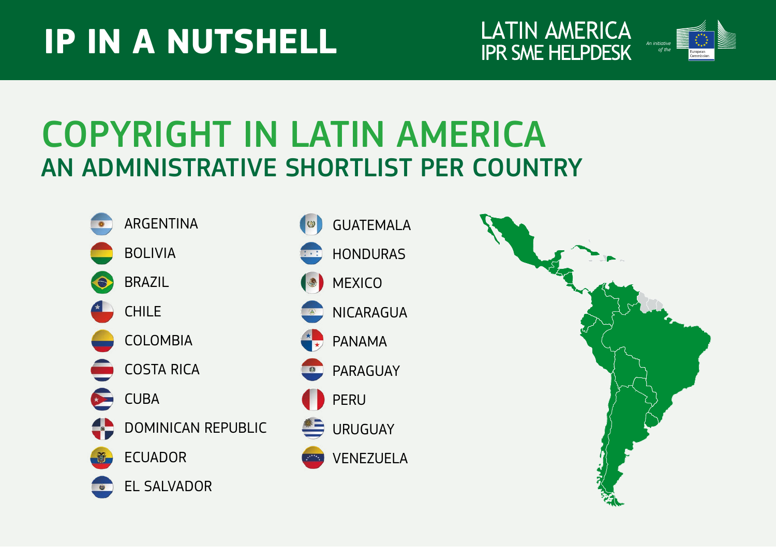# **IP IN A NUTSHELL**





## COPYRIGHT IN LATIN AMERICA AN ADMINISTRATIVE SHORTLIST PER COUNTRY

- ARGENTINA BOLIVIA BRAZIL CHILE COLOMBIA COSTA RICA CUBA DOMINICAN REPUBLIC ECUADOR EL SALVADOR
- GUATEMALA NICARAGUA PERU HONDURAS PANAMA URUGUAY **MEXICO** PARAGUAY VENEZUELA

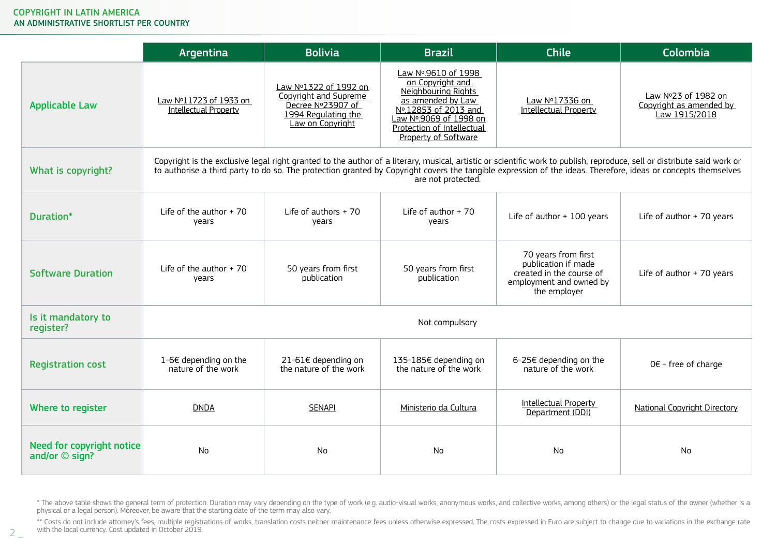$2 -$ 

|                                               | Argentina                                       | <b>Bolivia</b>                                                                                                                                                                                                                                                                                                                                                 | <b>Brazil</b>                                                                                                                                                                               | Chile                                                                                                             | Colombia                                                        |
|-----------------------------------------------|-------------------------------------------------|----------------------------------------------------------------------------------------------------------------------------------------------------------------------------------------------------------------------------------------------------------------------------------------------------------------------------------------------------------------|---------------------------------------------------------------------------------------------------------------------------------------------------------------------------------------------|-------------------------------------------------------------------------------------------------------------------|-----------------------------------------------------------------|
| <b>Applicable Law</b>                         | Law Nº11723 of 1933 on<br>Intellectual Property | Law Nº1322 of 1992 on<br>Copyright and Supreme<br>Decree Nº23907 of<br>1994 Regulating the<br>Law on Copyright                                                                                                                                                                                                                                                 | Law Nº.9610 of 1998<br>on Copyright and<br>Neighbouring Rights<br>as amended by Law<br>Nº.12853 of 2013 and<br>Law Nº.9069 of 1998 on<br>Protection of Intellectual<br>Property of Software | Law Nº17336 on<br>Intellectual Property                                                                           | Law Nº23 of 1982 on<br>Copyright as amended by<br>Law 1915/2018 |
| What is copyright?                            |                                                 | Copyright is the exclusive legal right granted to the author of a literary, musical, artistic or scientific work to publish, reproduce, sell or distribute said work or<br>to authorise a third party to do so. The protection granted by Copyright covers the tangible expression of the ideas. Therefore, ideas or concepts themselves<br>are not protected. |                                                                                                                                                                                             |                                                                                                                   |                                                                 |
| Duration*                                     | Life of the author $+70$<br>years               | Life of authors + 70<br>years                                                                                                                                                                                                                                                                                                                                  | Life of author $+70$<br>years                                                                                                                                                               | Life of author + 100 years                                                                                        | Life of author + 70 years                                       |
| <b>Software Duration</b>                      | Life of the author $+70$<br>years               | 50 years from first<br>publication                                                                                                                                                                                                                                                                                                                             | 50 years from first<br>publication                                                                                                                                                          | 70 years from first<br>publication if made<br>created in the course of<br>employment and owned by<br>the employer | Life of author + 70 years                                       |
| Is it mandatory to<br>register?               | Not compulsory                                  |                                                                                                                                                                                                                                                                                                                                                                |                                                                                                                                                                                             |                                                                                                                   |                                                                 |
| <b>Registration cost</b>                      | 1-6€ depending on the<br>nature of the work     | 21-61€ depending on<br>the nature of the work                                                                                                                                                                                                                                                                                                                  | 135-185€ depending on<br>the nature of the work                                                                                                                                             | 6-25€ depending on the<br>nature of the work                                                                      | $0 \in$ - free of charge                                        |
| Where to register                             | <b>DNDA</b>                                     | <b>SENAPI</b>                                                                                                                                                                                                                                                                                                                                                  | Ministerio da Cultura                                                                                                                                                                       | Intellectual Property<br>Department (DDI)                                                                         | National Copyright Directory                                    |
| Need for copyright notice<br>and/or $©$ sign? | N <sub>o</sub>                                  | N <sub>0</sub>                                                                                                                                                                                                                                                                                                                                                 | <b>No</b>                                                                                                                                                                                   | No                                                                                                                | No                                                              |

\* The above table shows the general term of protection. Duration may vary depending on the type of work (e.g. audio-visual works, anonymous works, and collective works, among others) or the legal status of the owner (wheth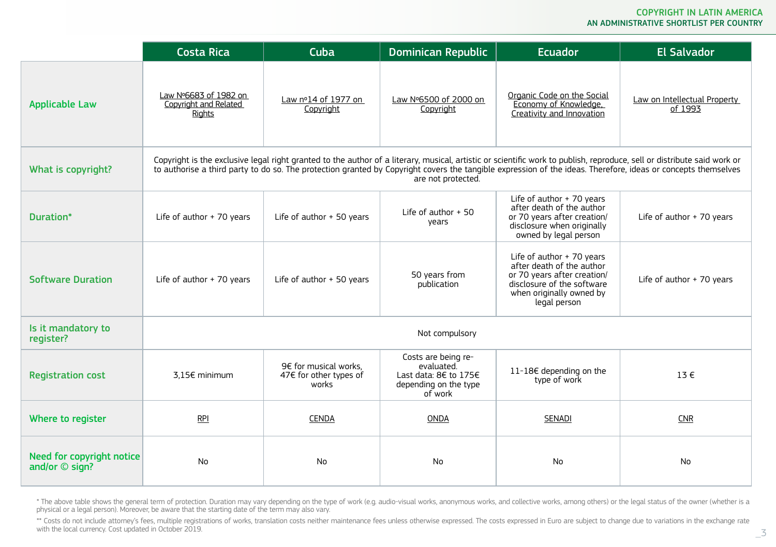|                                                   | <b>Costa Rica</b>                                        | Cuba                                                     | <b>Dominican Republic</b>                                                                      | <b>Ecuador</b>                                                                                                                                                                                                                                                                                                                           | <b>El Salvador</b>                      |
|---------------------------------------------------|----------------------------------------------------------|----------------------------------------------------------|------------------------------------------------------------------------------------------------|------------------------------------------------------------------------------------------------------------------------------------------------------------------------------------------------------------------------------------------------------------------------------------------------------------------------------------------|-----------------------------------------|
| <b>Applicable Law</b>                             | Law Nº6683 of 1982 on<br>Copyright and Related<br>Rights | Law nº14 of 1977 on<br>Copyright                         | Law Nº6500 of 2000 on<br>Copyright                                                             | Organic Code on the Social<br>Economy of Knowledge.<br>Creativity and Innovation                                                                                                                                                                                                                                                         | Law on Intellectual Property<br>of 1993 |
| What is copyright?                                |                                                          |                                                          | are not protected.                                                                             | Copyright is the exclusive legal right granted to the author of a literary, musical, artistic or scientific work to publish, reproduce, sell or distribute said work or<br>to authorise a third party to do so. The protection granted by Copyright covers the tangible expression of the ideas. Therefore, ideas or concepts themselves |                                         |
| Duration*                                         | Life of author + 70 years                                | Life of author + 50 years                                | Life of author $+50$<br>years                                                                  | Life of author + 70 years<br>after death of the author<br>or 70 years after creation/<br>disclosure when originally<br>owned by legal person                                                                                                                                                                                             | Life of author + 70 years               |
| <b>Software Duration</b>                          | Life of author + 70 years                                | Life of author + 50 years                                | 50 years from<br>publication                                                                   | Life of author + 70 years<br>after death of the author<br>or 70 years after creation/<br>disclosure of the software<br>when originally owned by<br>legal person                                                                                                                                                                          | Life of author + 70 years               |
| Is it mandatory to<br>register?                   |                                                          |                                                          | Not compulsory                                                                                 |                                                                                                                                                                                                                                                                                                                                          |                                         |
| <b>Registration cost</b>                          | 3,15€ minimum                                            | 9€ for musical works.<br>47€ for other types of<br>works | Costs are being re-<br>evaluated.<br>Last data: 8€ to 175€<br>depending on the type<br>of work | 11-18€ depending on the<br>type of work                                                                                                                                                                                                                                                                                                  | $13 \in$                                |
| Where to register                                 | <b>RPI</b>                                               | <b>CENDA</b>                                             | <b>ONDA</b>                                                                                    | <b>SENADI</b>                                                                                                                                                                                                                                                                                                                            | <b>CNR</b>                              |
| Need for copyright notice<br>and/or $\odot$ sign? | <b>No</b>                                                | <b>No</b>                                                | No                                                                                             | N <sub>o</sub>                                                                                                                                                                                                                                                                                                                           | N <sub>0</sub>                          |

\* The above table shows the general term of protection. Duration may vary depending on the type of work (e.g. audio-visual works, anonymous works, and collective works, among others) or the legal status of the owner (wheth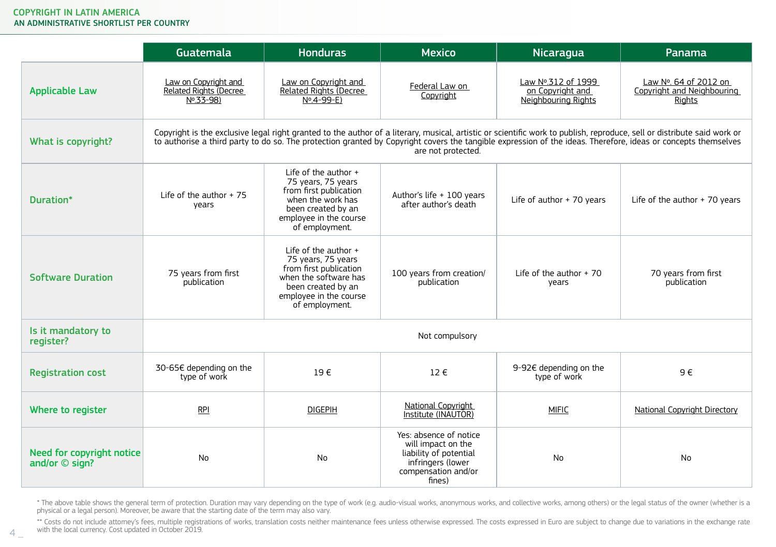|                                                   | Guatemala                                                       | <b>Honduras</b>                                                                                                                                                   | <b>Mexico</b>                                                                                                                | Nicaragua                                                     | Panama                                                                                                                                                                                                                                                                                                                                   |
|---------------------------------------------------|-----------------------------------------------------------------|-------------------------------------------------------------------------------------------------------------------------------------------------------------------|------------------------------------------------------------------------------------------------------------------------------|---------------------------------------------------------------|------------------------------------------------------------------------------------------------------------------------------------------------------------------------------------------------------------------------------------------------------------------------------------------------------------------------------------------|
| <b>Applicable Law</b>                             | Law on Copyright and<br>Related Rights (Decree<br>$N^0.33 - 98$ | Law on Copyright and<br>Related Rights (Decree<br>$N^0.4 - 99 - E$                                                                                                | Federal Law on<br>Copyright                                                                                                  | Law Nº.312 of 1999<br>on Copyright and<br>Neighbouring Rights | Law Nº. 64 of 2012 on<br>Copyright and Neighbouring<br>Rights                                                                                                                                                                                                                                                                            |
| What is copyright?                                |                                                                 |                                                                                                                                                                   | are not protected.                                                                                                           |                                                               | Copyright is the exclusive legal right granted to the author of a literary, musical, artistic or scientific work to publish, reproduce, sell or distribute said work or<br>to authorise a third party to do so. The protection granted by Copyright covers the tangible expression of the ideas. Therefore, ideas or concepts themselves |
| Duration*                                         | Life of the author $+75$<br>years                               | Life of the author +<br>75 years, 75 years<br>from first publication<br>when the work has<br>been created by an<br>employee in the course<br>of employment.       | Author's life + 100 years<br>after author's death                                                                            | Life of author + 70 years                                     | Life of the author + 70 years                                                                                                                                                                                                                                                                                                            |
| <b>Software Duration</b>                          | 75 years from first<br>publication                              | Life of the author $+$<br>75 years, 75 years<br>from first publication<br>when the software has<br>been created by an<br>employee in the course<br>of employment. | 100 years from creation/<br>publication                                                                                      | Life of the author $+70$<br>years                             | 70 years from first<br>publication                                                                                                                                                                                                                                                                                                       |
| Is it mandatory to<br>register?                   |                                                                 |                                                                                                                                                                   | Not compulsory                                                                                                               |                                                               |                                                                                                                                                                                                                                                                                                                                          |
| <b>Registration cost</b>                          | 30-65€ depending on the<br>type of work                         | $19 \in$                                                                                                                                                          | $12 \in$                                                                                                                     | 9-92€ depending on the<br>type of work                        | $9 \in$                                                                                                                                                                                                                                                                                                                                  |
| Where to register                                 | <b>RPI</b>                                                      | <b>DIGEPIH</b>                                                                                                                                                    | National Copyright<br>Institute (INAUTOR)                                                                                    | <b>MIFIC</b>                                                  | National Copyright Directory                                                                                                                                                                                                                                                                                                             |
| Need for copyright notice<br>and/or $\odot$ sign? | <b>No</b>                                                       | N <sub>0</sub>                                                                                                                                                    | Yes: absence of notice<br>will impact on the<br>liability of potential<br>infringers (lower<br>compensation and/or<br>fines) | N <sub>0</sub>                                                | N <sub>0</sub>                                                                                                                                                                                                                                                                                                                           |

\* The above table shows the general term of protection. Duration may vary depending on the type of work (e.g. audio-visual works, anonymous works, and collective works, among others) or the legal status of the owner (wheth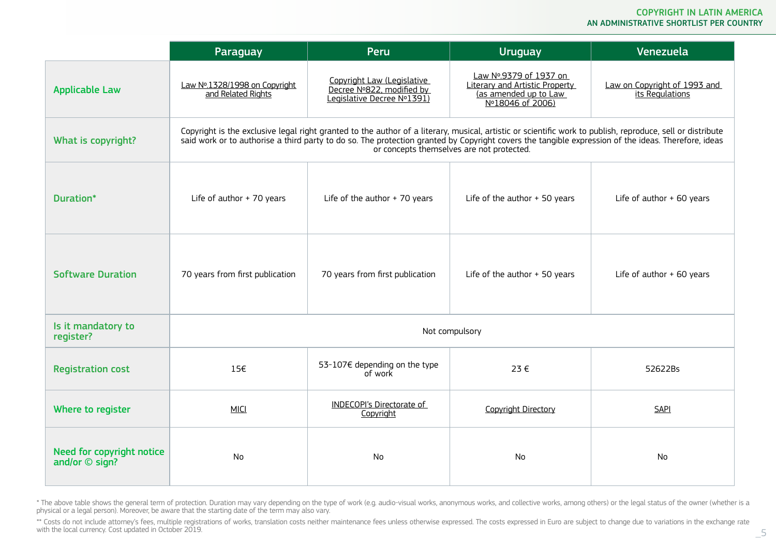|                                                   | Paraguay                                            | Peru                                                                                                                                                                                                                                                                                                              | Uruguay                                                                                               | Venezuela                                       |
|---------------------------------------------------|-----------------------------------------------------|-------------------------------------------------------------------------------------------------------------------------------------------------------------------------------------------------------------------------------------------------------------------------------------------------------------------|-------------------------------------------------------------------------------------------------------|-------------------------------------------------|
| <b>Applicable Law</b>                             | Law Nº.1328/1998 on Copyright<br>and Related Rights | Copyright Law (Legislative<br>Decree Nº822, modified by<br>Legislative Decree Nº1391)                                                                                                                                                                                                                             | Law Nº.9379 of 1937 on<br>Literary and Artistic Property<br>(as amended up to Law<br>Nº18046 of 2006) | Law on Copyright of 1993 and<br>its Regulations |
| What is copyright?                                |                                                     | Copyright is the exclusive legal right granted to the author of a literary, musical, artistic or scientific work to publish, reproduce, sell or distribute<br>said work or to authorise a third party to do so. The protection granted by Copyright covers the tangible expression of the ideas. Therefore, ideas | or concepts themselves are not protected.                                                             |                                                 |
| Duration*                                         | Life of author + 70 years                           | Life of the author $+70$ years                                                                                                                                                                                                                                                                                    | Life of the author $+50$ years                                                                        | Life of author + 60 years                       |
| <b>Software Duration</b>                          | 70 years from first publication                     | 70 years from first publication                                                                                                                                                                                                                                                                                   | Life of the author $+50$ years                                                                        | Life of author + 60 years                       |
| Is it mandatory to<br>register?                   |                                                     |                                                                                                                                                                                                                                                                                                                   | Not compulsory                                                                                        |                                                 |
| <b>Registration cost</b>                          | 156                                                 | 53-107€ depending on the type<br>of work                                                                                                                                                                                                                                                                          | 23€                                                                                                   | 52622Bs                                         |
| Where to register                                 | <b>MICI</b>                                         | INDECOPI's Directorate of<br>Copyright                                                                                                                                                                                                                                                                            | Copyright Directory                                                                                   | <b>SAPI</b>                                     |
| Need for copyright notice<br>and/or $\odot$ sign? | N <sub>0</sub>                                      | No.                                                                                                                                                                                                                                                                                                               | <b>No</b>                                                                                             | N <sub>0</sub>                                  |

\* The above table shows the general term of protection. Duration may vary depending on the type of work (e.g. audio-visual works, anonymous works, and collective works, among others) or the legal status of the owner (wheth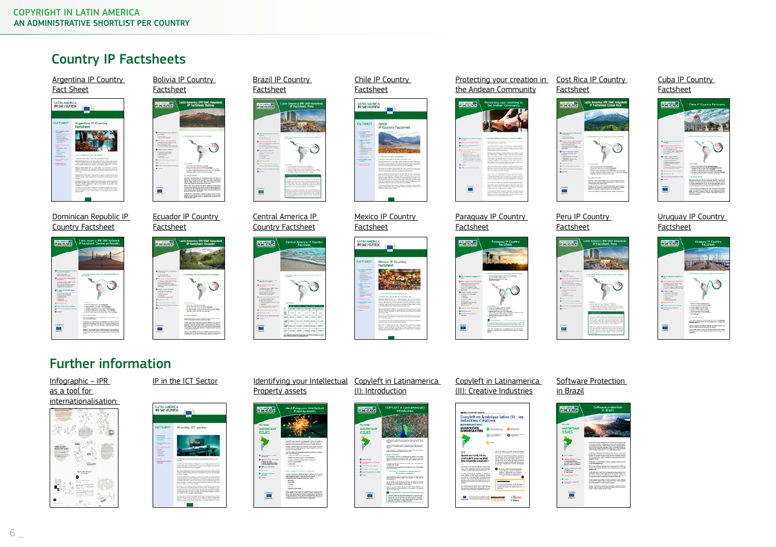### Country IP Factsheets

[Argentina IP Country](https://www.latinamerica-ipr-helpdesk.eu/content/argentina-ip-country-factsheet)  [Fact Sheet](https://www.latinamerica-ipr-helpdesk.eu/content/argentina-ip-country-factsheet)



[Dominican Republic IP](https://www.latinamerica-ipr-helpdesk.eu/content/dominican-republic-ip-factsheet)  [Country Factsheet](https://www.latinamerica-ipr-helpdesk.eu/content/dominican-republic-ip-factsheet)



[Bolivia IP Country](https://www.latinamerica-ipr-helpdesk.eu/content/bolivia-ip-country-factsheet)  [Factsheet](https://www.latinamerica-ipr-helpdesk.eu/content/bolivia-ip-country-factsheet)



[Ecuador IP Country](https://www.latinamerica-ipr-helpdesk.eu/content/ecuador-ip-country-factsheet)  [Factsheet](https://www.latinamerica-ipr-helpdesk.eu/content/ecuador-ip-country-factsheet)



[Brazil IP Country](https://www.latinamerica-ipr-helpdesk.eu/content/brazil-ip-country-factsheet)  [Factsheet](https://www.latinamerica-ipr-helpdesk.eu/content/brazil-ip-country-factsheet)



[Central America IP](https://www.latinamerica-ipr-helpdesk.eu/content/central-america-ip-country-factsheet)  [Country Factsheet](https://www.latinamerica-ipr-helpdesk.eu/content/central-america-ip-country-factsheet)





[Mexico IP Country](https://www.latinamerica-ipr-helpdesk.eu/content/mexico-ip-factsheet)  [Factsheet](https://www.latinamerica-ipr-helpdesk.eu/content/mexico-ip-factsheet) LATIN AMERICA



[Chile IP Country](https://www.latinamerica-ipr-helpdesk.eu/content/chile-ip-country-factsheet)  [Factsheet](https://www.latinamerica-ipr-helpdesk.eu/content/chile-ip-country-factsheet)

CHILE<br>IP Country Factsheet

LATIN AMERICA

[Protecting your creation in](https://www.latinamerica-ipr-helpdesk.eu/content/protecting-your-creations-andean-community)  [the Andean Community](https://www.latinamerica-ipr-helpdesk.eu/content/protecting-your-creations-andean-community)



[Paraguay IP Country](https://www.latinamerica-ipr-helpdesk.eu/content/paraguay-ip-country-factsheet)  [Factsheet](https://www.latinamerica-ipr-helpdesk.eu/content/paraguay-ip-country-factsheet)



[Cost Rica IP Country](https://www.latinamerica-ipr-helpdesk.eu/content/costa-rica-ip-factsheet)  [Factsheet](https://www.latinamerica-ipr-helpdesk.eu/content/costa-rica-ip-factsheet)



[Peru IP Country](https://www.latinamerica-ipr-helpdesk.eu/content/peru-ip-country-factsheet)  [Factsheet](https://www.latinamerica-ipr-helpdesk.eu/content/peru-ip-country-factsheet)



## [Cuba IP Country](https://www.latinamerica-ipr-helpdesk.eu/content/cuba-ip-country-factsheet)



[Uruguay IP Country](https://www.latinamerica-ipr-helpdesk.eu/content/uruguay-ip-country-factsheet) 



## Further information





| IN AMERIC<br><b>CANT HITI DOESN</b>                                                                                                                                                                                                                                                                         |                                                                                                                                                                                                                                                                                                                                                                                                                                                                                                                                                                                                                                                                                                                                                                                                                                                                                                                                                                                                                                                                                                                                                                                                                                                                                                                                                                                                                                                                                                                                                                                                                                                                               |
|-------------------------------------------------------------------------------------------------------------------------------------------------------------------------------------------------------------------------------------------------------------------------------------------------------------|-------------------------------------------------------------------------------------------------------------------------------------------------------------------------------------------------------------------------------------------------------------------------------------------------------------------------------------------------------------------------------------------------------------------------------------------------------------------------------------------------------------------------------------------------------------------------------------------------------------------------------------------------------------------------------------------------------------------------------------------------------------------------------------------------------------------------------------------------------------------------------------------------------------------------------------------------------------------------------------------------------------------------------------------------------------------------------------------------------------------------------------------------------------------------------------------------------------------------------------------------------------------------------------------------------------------------------------------------------------------------------------------------------------------------------------------------------------------------------------------------------------------------------------------------------------------------------------------------------------------------------------------------------------------------------|
| <b>FACTSHEET</b>                                                                                                                                                                                                                                                                                            | IP in the ICT sector                                                                                                                                                                                                                                                                                                                                                                                                                                                                                                                                                                                                                                                                                                                                                                                                                                                                                                                                                                                                                                                                                                                                                                                                                                                                                                                                                                                                                                                                                                                                                                                                                                                          |
| L. member int<br>$-$<br><b><i><u>Arizonale si lo acterit</u></i></b><br>---<br>A Mini-Scorement & Art<br><b>Card Corporation</b><br>Linux marketing me a<br><b>STATISTICS</b><br>$\sim$<br><b>COLLEGE</b><br>$\sim$<br>$\sim$<br><b>STATISTICS</b><br><b>College</b><br>1. Washington and company<br>$\sim$ | Linforceion anticompaniello Telesinger cente in Lein<br><b>Service</b><br>strong ad becomes being a third process rates was to<br>high skills should blood stayle shareh and the alternative full<br>celler de los scopodo la bloca de oblea i giornier-<br>building a de descriptionnel buildings<br>The CT are the automotive transition to the Water International Printers and<br>be completed the participant and a production of the complete of the second<br>a look as continue as builty of their interactionals and out and standard after<br>Concert & Artists<br>to a de habitat d'occurrence a sua ductar autres de humanitat el<br>three are between control between personality and at a part year.<br>in the security stars, as which the security with stars and security<br>trusts carry and this or a series of the series of the scene rest.<br>Fort in reducer and the cost transmission and records.<br>Microsoft Committee Address and Committee<br>Northeles in this substantial buildings in expectation of an electronic<br>the contribution reflects recent it actually information rate. It has<br>and the price of the company and a shock in order and the processes<br>Committee on the short in the control of the second<br>and court soles the status and by \$7,000 to the \$1 page of antique<br>can wake out force paids it dependent.<br>The American Chick stand entropyrate in student to each<br>and a brandy actions in the first site of the late to be a state of a positive bar-<br>tories a comparison rate at a wide to compare and at a black book<br><b>MARINE COLORADO PARA MARINE A PARTICIPATO DE CARDO</b><br>-----<br>= |

| The American<br><b>ART BEV</b>                                                               | Identifying your Intellectual<br><b>Procerty assets</b>                                                                                                                                                                                                                                                                                                                                                         |
|----------------------------------------------------------------------------------------------|-----------------------------------------------------------------------------------------------------------------------------------------------------------------------------------------------------------------------------------------------------------------------------------------------------------------------------------------------------------------------------------------------------------------|
| <b>FACTOTES</b><br><b>IFORTANT</b><br>eques                                                  |                                                                                                                                                                                                                                                                                                                                                                                                                 |
|                                                                                              | The self-of such tracks to all considerable interfacial public in a<br>the company's state for the com-<br><b>CONTRACTOR</b><br>sposts marke ashed on the sprint between<br>begins detected and a new characteristic andy memories<br>Turbinism MA 145/4 Twin pain to recover<br>For the first trades such                                                                                                      |
| w<br><b>STAN TAKE CROSS</b><br><b>DESCRIPTION</b><br><b>WINDOWS</b>                          | the City come that you industry to be reported to construct to<br>the company bearing them.<br>. In order one competition is dependent.<br>- Independent to provide a market to the contract before<br>1. The many competitions of the company of the stated<br>1. This project should be a                                                                                                                     |
| <b>Starts and Side, Assist</b><br>-<br><b><i>SHACKS ACADEMY</i></b><br>--<br><b>Business</b> | 1. North School State<br>A follow recommend as awaren recommended<br>being a policie and distance agent in basical between a se-<br>standed with determinate fire as he do secure in<br>paintenance and a selected state and a                                                                                                                                                                                  |
| <b>Literature</b>                                                                            | Territoriale functionary have<br>- <b>Automa</b><br>. Services<br>1 Toronto<br>- Norway<br><b>Seminarion</b><br>Paper research in present thousand of a contract state.<br>of the company of the perfect of company of perfect the perfect of the<br>interest belti personal de la color d'estimat<br>affects should also be bettering had been if its<br>Professional Program and Control Control of Contracts |

#### [IP in the ICT Sector](http://www.latinamerica-ipr-helpdesk.eu/node/4807) ldentifying your Intellectual Copyleft in Latinamerica [\(I\): Introduction](http://www.latinamerica-ipr-helpdesk.eu/node/878)



#### [Copyleft in Latinamerica](http://www.latinamerica-ipr-helpdesk.eu/node/904)  [\(II\): Creative Industries](http://www.latinamerica-ipr-helpdesk.eu/node/904)



#### [Software Protection](http://www.latinamerica-ipr-helpdesk.eu/node/861)  [in Brazil](http://www.latinamerica-ipr-helpdesk.eu/node/861)







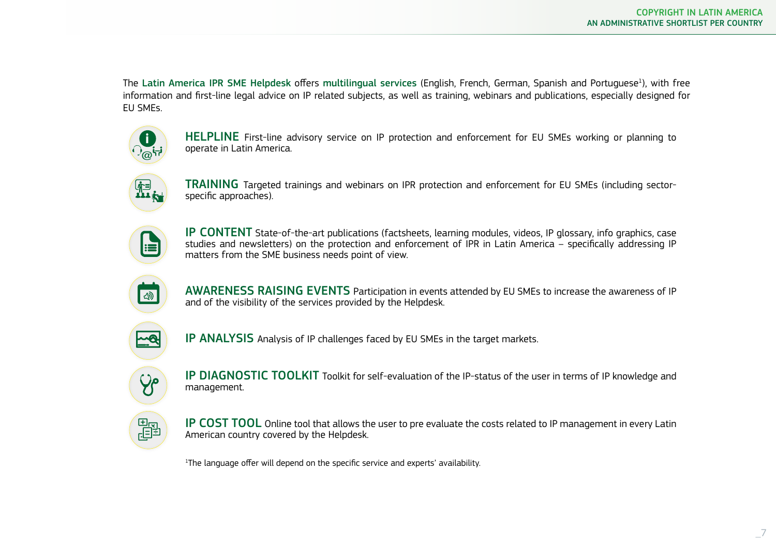The Latin America IPR SME Helpdesk offers multilingual services (English, French, German, Spanish and Portuguese<sup>1</sup>), with free information and first-line legal advice on IP related subjects, as well as training, webinars and publications, especially designed for EU SMEs.



HELPLINE First-line advisory service on IP protection and enforcement for EU SMEs working or planning to operate in Latin America.



TRAINING Targeted trainings and webinars on IPR protection and enforcement for EU SMEs (including sectorspecific approaches).



IP CONTENT State-of-the-art publications (factsheets, learning modules, videos, IP glossary, info graphics, case studies and newsletters) on the protection and enforcement of IPR in Latin America – specifically addressing IP matters from the SME business needs point of view.



AWARENESS RAISING EVENTS Participation in events attended by EU SMEs to increase the awareness of IP and of the visibility of the services provided by the Helpdesk.



IP ANALYSIS Analysis of IP challenges faced by EU SMEs in the target markets.



IP DIAGNOSTIC TOOLKIT Toolkit for self-evaluation of the IP-status of the user in terms of IP knowledge and management.



IP COST TOOL Online tool that allows the user to pre evaluate the costs related to IP management in every Latin American country covered by the Helpdesk.

<sup>1</sup>The language offer will depend on the specific service and experts' availability.